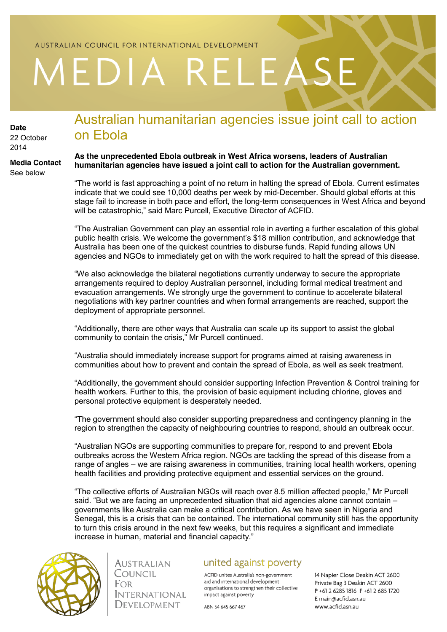## AUSTRALIAN COUNCIL FOR INTERNATIONAL DEVELOPMENT

# MEDIA RELEASE

**Date** 22 October 2014

#### **Media Contact** See below

## Australian humanitarian agencies issue joint call to action on Ebola

### **As the unprecedented Ebola outbreak in West Africa worsens, leaders of Australian humanitarian agencies have issued a joint call to action for the Australian government.**

"The world is fast approaching a point of no return in halting the spread of Ebola. Current estimates indicate that we could see 10,000 deaths per week by mid-December. Should global efforts at this stage fail to increase in both pace and effort, the long-term consequences in West Africa and beyond will be catastrophic," said Marc Purcell, Executive Director of ACFID.

"The Australian Government can play an essential role in averting a further escalation of this global public health crisis. We welcome the government's \$18 million contribution, and acknowledge that Australia has been one of the quickest countries to disburse funds. Rapid funding allows UN agencies and NGOs to immediately get on with the work required to halt the spread of this disease.

"We also acknowledge the bilateral negotiations currently underway to secure the appropriate arrangements required to deploy Australian personnel, including formal medical treatment and evacuation arrangements. We strongly urge the government to continue to accelerate bilateral negotiations with key partner countries and when formal arrangements are reached, support the deployment of appropriate personnel.

"Additionally, there are other ways that Australia can scale up its support to assist the global community to contain the crisis," Mr Purcell continued.

"Australia should immediately increase support for programs aimed at raising awareness in communities about how to prevent and contain the spread of Ebola, as well as seek treatment.

"Additionally, the government should consider supporting Infection Prevention & Control training for health workers. Further to this, the provision of basic equipment including chlorine, gloves and personal protective equipment is desperately needed.

"The government should also consider supporting preparedness and contingency planning in the region to strengthen the capacity of neighbouring countries to respond, should an outbreak occur.

"Australian NGOs are supporting communities to prepare for, respond to and prevent Ebola outbreaks across the Western Africa region. NGOs are tackling the spread of this disease from a range of angles – we are raising awareness in communities, training local health workers, opening health facilities and providing protective equipment and essential services on the ground.

"The collective efforts of Australian NGOs will reach over 8.5 million affected people," Mr Purcell said. "But we are facing an unprecedented situation that aid agencies alone cannot contain – governments like Australia can make a critical contribution. As we have seen in Nigeria and Senegal, this is a crisis that can be contained. The international community still has the opportunity to turn this crisis around in the next few weeks, but this requires a significant and immediate increase in human, material and financial capacity."



AUSTRALIAN Council **FOR INTERNATIONAL** DEVELOPMENT

## united against poverty

ACFID unites Australia's non-government aid and international development organisations to strengthen their collective impact against poverty

ABN 54 645 667 467

14 Napier Close Deakin ACT 2600 Private Bag 3 Deakin ACT 2600 P+61 2 6285 1816 F+61 2 685 1720 E main@acfid.asn.au www.acfid.asn.au